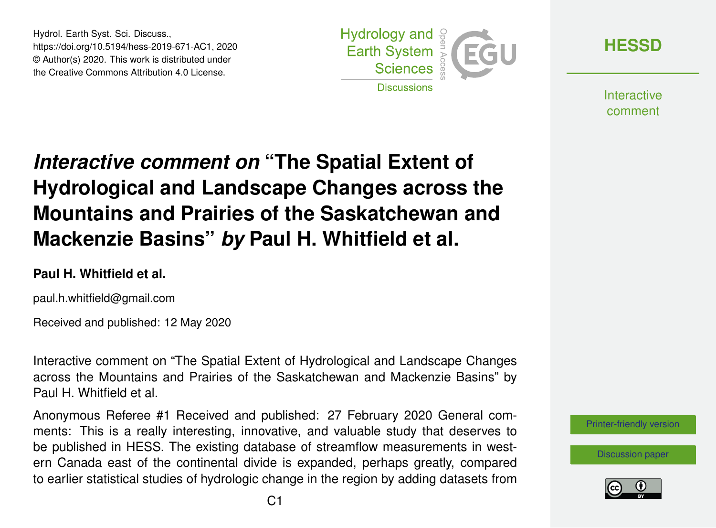Hydrol. Earth Syst. Sci. Discuss., https://doi.org/10.5194/hess-2019-671-AC1, 2020 © Author(s) 2020. This work is distributed under the Creative Commons Attribution 4.0 License.



**[HESSD](https://www.hydrol-earth-syst-sci-discuss.net/)**

**Interactive** comment

# *Interactive comment on* **"The Spatial Extent of Hydrological and Landscape Changes across the Mountains and Prairies of the Saskatchewan and Mackenzie Basins"** *by* **Paul H. Whitfield et al.**

#### **Paul H. Whitfield et al.**

paul.h.whitfield@gmail.com

Received and published: 12 May 2020

Interactive comment on "The Spatial Extent of Hydrological and Landscape Changes across the Mountains and Prairies of the Saskatchewan and Mackenzie Basins" by Paul H. Whitfield et al.

Anonymous Referee #1 Received and published: 27 February 2020 General comments: This is a really interesting, innovative, and valuable study that deserves to be published in HESS. The existing database of streamflow measurements in western Canada east of the continental divide is expanded, perhaps greatly, compared to earlier statistical studies of hydrologic change in the region by adding datasets from

[Printer-friendly version](https://www.hydrol-earth-syst-sci-discuss.net/hess-2019-671/hess-2019-671-AC1-print.pdf)

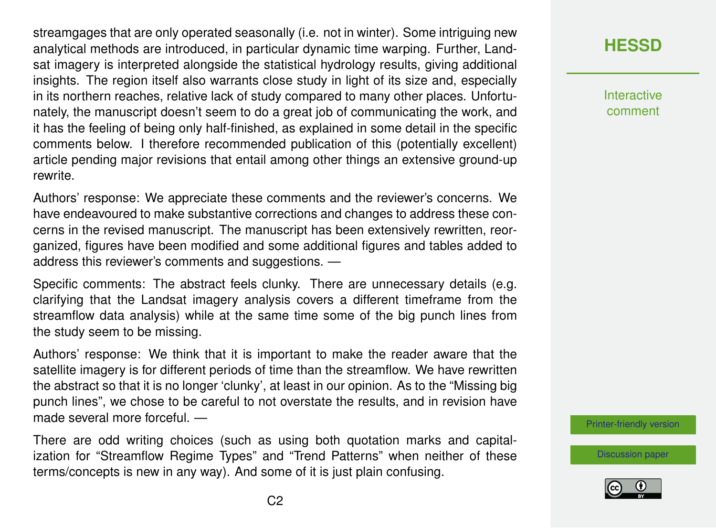streamgages that are only operated seasonally (i.e. not in winter). Some intriguing new analytical methods are introduced, in particular dynamic time warping. Further, Landsat imagery is interpreted alongside the statistical hydrology results, giving additional insights. The region itself also warrants close study in light of its size and, especially in its northern reaches, relative lack of study compared to many other places. Unfortunately, the manuscript doesn't seem to do a great job of communicating the work, and it has the feeling of being only half-finished, as explained in some detail in the specific comments below. I therefore recommended publication of this (potentially excellent) article pending major revisions that entail among other things an extensive ground-up rewrite.

Authors' response: We appreciate these comments and the reviewer's concerns. We have endeavoured to make substantive corrections and changes to address these concerns in the revised manuscript. The manuscript has been extensively rewritten, reorganized, figures have been modified and some additional figures and tables added to address this reviewer's comments and suggestions. —

Specific comments: The abstract feels clunky. There are unnecessary details (e.g. clarifying that the Landsat imagery analysis covers a different timeframe from the streamflow data analysis) while at the same time some of the big punch lines from the study seem to be missing.

Authors' response: We think that it is important to make the reader aware that the satellite imagery is for different periods of time than the streamflow. We have rewritten the abstract so that it is no longer 'clunky', at least in our opinion. As to the "Missing big punch lines", we chose to be careful to not overstate the results, and in revision have made several more forceful. —

There are odd writing choices (such as using both quotation marks and capitalization for "Streamflow Regime Types" and "Trend Patterns" when neither of these terms/concepts is new in any way). And some of it is just plain confusing.

## **[HESSD](https://www.hydrol-earth-syst-sci-discuss.net/)**

**Interactive** comment

[Printer-friendly version](https://www.hydrol-earth-syst-sci-discuss.net/hess-2019-671/hess-2019-671-AC1-print.pdf)

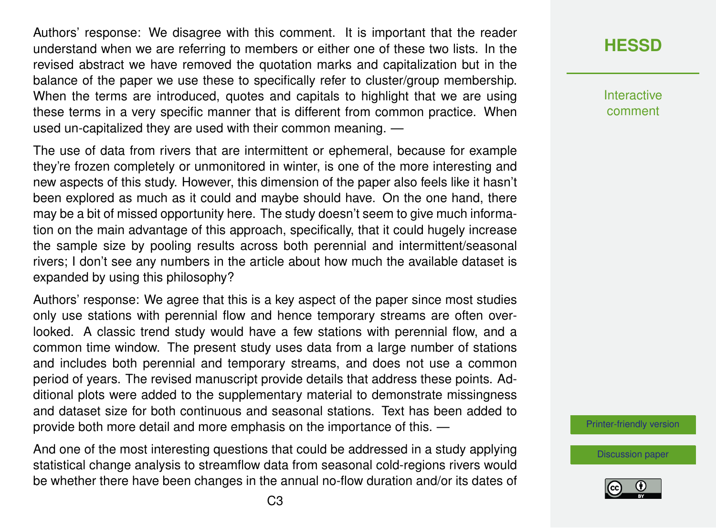Authors' response: We disagree with this comment. It is important that the reader understand when we are referring to members or either one of these two lists. In the revised abstract we have removed the quotation marks and capitalization but in the balance of the paper we use these to specifically refer to cluster/group membership. When the terms are introduced, quotes and capitals to highlight that we are using these terms in a very specific manner that is different from common practice. When used un-capitalized they are used with their common meaning. —

The use of data from rivers that are intermittent or ephemeral, because for example they're frozen completely or unmonitored in winter, is one of the more interesting and new aspects of this study. However, this dimension of the paper also feels like it hasn't been explored as much as it could and maybe should have. On the one hand, there may be a bit of missed opportunity here. The study doesn't seem to give much information on the main advantage of this approach, specifically, that it could hugely increase the sample size by pooling results across both perennial and intermittent/seasonal rivers; I don't see any numbers in the article about how much the available dataset is expanded by using this philosophy?

Authors' response: We agree that this is a key aspect of the paper since most studies only use stations with perennial flow and hence temporary streams are often overlooked. A classic trend study would have a few stations with perennial flow, and a common time window. The present study uses data from a large number of stations and includes both perennial and temporary streams, and does not use a common period of years. The revised manuscript provide details that address these points. Additional plots were added to the supplementary material to demonstrate missingness and dataset size for both continuous and seasonal stations. Text has been added to provide both more detail and more emphasis on the importance of this. —

And one of the most interesting questions that could be addressed in a study applying statistical change analysis to streamflow data from seasonal cold-regions rivers would be whether there have been changes in the annual no-flow duration and/or its dates of

#### **[HESSD](https://www.hydrol-earth-syst-sci-discuss.net/)**

Interactive comment

[Printer-friendly version](https://www.hydrol-earth-syst-sci-discuss.net/hess-2019-671/hess-2019-671-AC1-print.pdf)

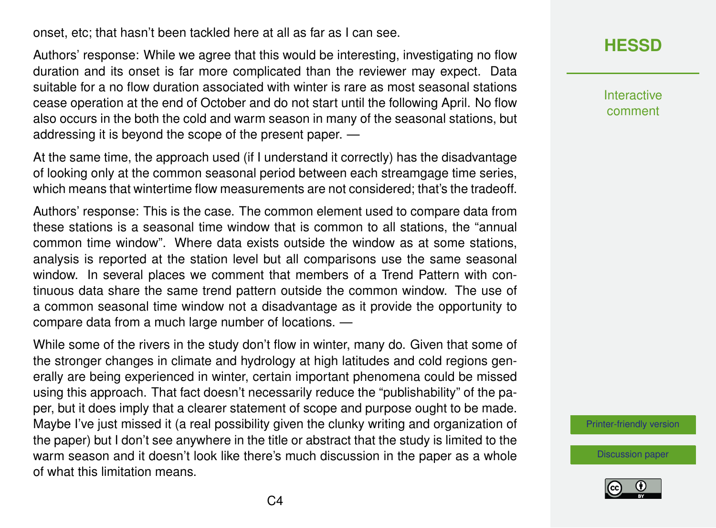onset, etc; that hasn't been tackled here at all as far as I can see.

Authors' response: While we agree that this would be interesting, investigating no flow duration and its onset is far more complicated than the reviewer may expect. Data suitable for a no flow duration associated with winter is rare as most seasonal stations cease operation at the end of October and do not start until the following April. No flow also occurs in the both the cold and warm season in many of the seasonal stations, but addressing it is beyond the scope of the present paper. —

At the same time, the approach used (if I understand it correctly) has the disadvantage of looking only at the common seasonal period between each streamgage time series, which means that wintertime flow measurements are not considered; that's the tradeoff.

Authors' response: This is the case. The common element used to compare data from these stations is a seasonal time window that is common to all stations, the "annual common time window". Where data exists outside the window as at some stations, analysis is reported at the station level but all comparisons use the same seasonal window. In several places we comment that members of a Trend Pattern with continuous data share the same trend pattern outside the common window. The use of a common seasonal time window not a disadvantage as it provide the opportunity to compare data from a much large number of locations. —

While some of the rivers in the study don't flow in winter, many do. Given that some of the stronger changes in climate and hydrology at high latitudes and cold regions generally are being experienced in winter, certain important phenomena could be missed using this approach. That fact doesn't necessarily reduce the "publishability" of the paper, but it does imply that a clearer statement of scope and purpose ought to be made. Maybe I've just missed it (a real possibility given the clunky writing and organization of the paper) but I don't see anywhere in the title or abstract that the study is limited to the warm season and it doesn't look like there's much discussion in the paper as a whole of what this limitation means.

## **[HESSD](https://www.hydrol-earth-syst-sci-discuss.net/)**

**Interactive** comment

[Printer-friendly version](https://www.hydrol-earth-syst-sci-discuss.net/hess-2019-671/hess-2019-671-AC1-print.pdf)

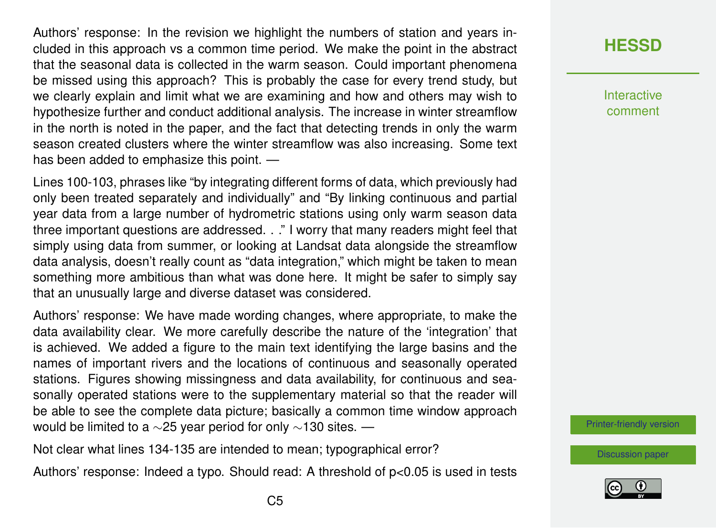Authors' response: In the revision we highlight the numbers of station and years included in this approach vs a common time period. We make the point in the abstract that the seasonal data is collected in the warm season. Could important phenomena be missed using this approach? This is probably the case for every trend study, but we clearly explain and limit what we are examining and how and others may wish to hypothesize further and conduct additional analysis. The increase in winter streamflow in the north is noted in the paper, and the fact that detecting trends in only the warm season created clusters where the winter streamflow was also increasing. Some text has been added to emphasize this point. —

Lines 100-103, phrases like "by integrating different forms of data, which previously had only been treated separately and individually" and "By linking continuous and partial year data from a large number of hydrometric stations using only warm season data three important questions are addressed. . ." I worry that many readers might feel that simply using data from summer, or looking at Landsat data alongside the streamflow data analysis, doesn't really count as "data integration," which might be taken to mean something more ambitious than what was done here. It might be safer to simply say that an unusually large and diverse dataset was considered.

Authors' response: We have made wording changes, where appropriate, to make the data availability clear. We more carefully describe the nature of the 'integration' that is achieved. We added a figure to the main text identifying the large basins and the names of important rivers and the locations of continuous and seasonally operated stations. Figures showing missingness and data availability, for continuous and seasonally operated stations were to the supplementary material so that the reader will be able to see the complete data picture; basically a common time window approach would be limited to a ∼25 year period for only ~130 sites. —

Not clear what lines 134-135 are intended to mean; typographical error?

Authors' response: Indeed a typo. Should read: A threshold of p<0.05 is used in tests

**Interactive** comment

[Printer-friendly version](https://www.hydrol-earth-syst-sci-discuss.net/hess-2019-671/hess-2019-671-AC1-print.pdf)

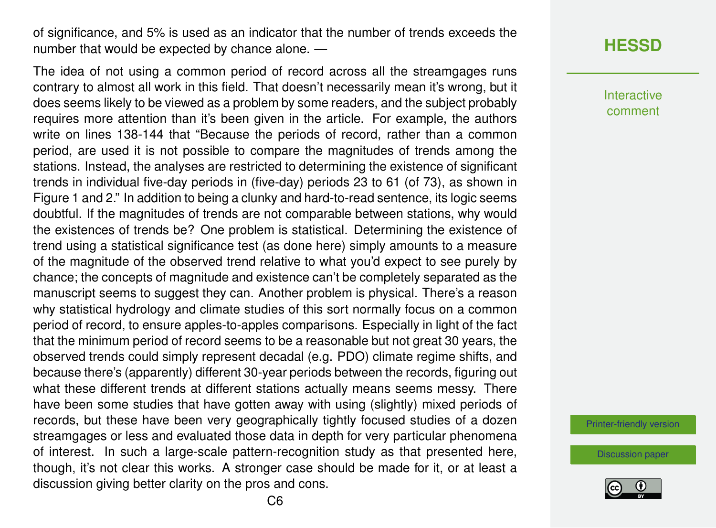of significance, and 5% is used as an indicator that the number of trends exceeds the number that would be expected by chance alone. —

The idea of not using a common period of record across all the streamgages runs contrary to almost all work in this field. That doesn't necessarily mean it's wrong, but it does seems likely to be viewed as a problem by some readers, and the subject probably requires more attention than it's been given in the article. For example, the authors write on lines 138-144 that "Because the periods of record, rather than a common period, are used it is not possible to compare the magnitudes of trends among the stations. Instead, the analyses are restricted to determining the existence of significant trends in individual five-day periods in (five-day) periods 23 to 61 (of 73), as shown in Figure 1 and 2." In addition to being a clunky and hard-to-read sentence, its logic seems doubtful. If the magnitudes of trends are not comparable between stations, why would the existences of trends be? One problem is statistical. Determining the existence of trend using a statistical significance test (as done here) simply amounts to a measure of the magnitude of the observed trend relative to what you'd expect to see purely by chance; the concepts of magnitude and existence can't be completely separated as the manuscript seems to suggest they can. Another problem is physical. There's a reason why statistical hydrology and climate studies of this sort normally focus on a common period of record, to ensure apples-to-apples comparisons. Especially in light of the fact that the minimum period of record seems to be a reasonable but not great 30 years, the observed trends could simply represent decadal (e.g. PDO) climate regime shifts, and because there's (apparently) different 30-year periods between the records, figuring out what these different trends at different stations actually means seems messy. There have been some studies that have gotten away with using (slightly) mixed periods of records, but these have been very geographically tightly focused studies of a dozen streamgages or less and evaluated those data in depth for very particular phenomena of interest. In such a large-scale pattern-recognition study as that presented here, though, it's not clear this works. A stronger case should be made for it, or at least a discussion giving better clarity on the pros and cons.

#### **[HESSD](https://www.hydrol-earth-syst-sci-discuss.net/)**

Interactive comment

[Printer-friendly version](https://www.hydrol-earth-syst-sci-discuss.net/hess-2019-671/hess-2019-671-AC1-print.pdf)

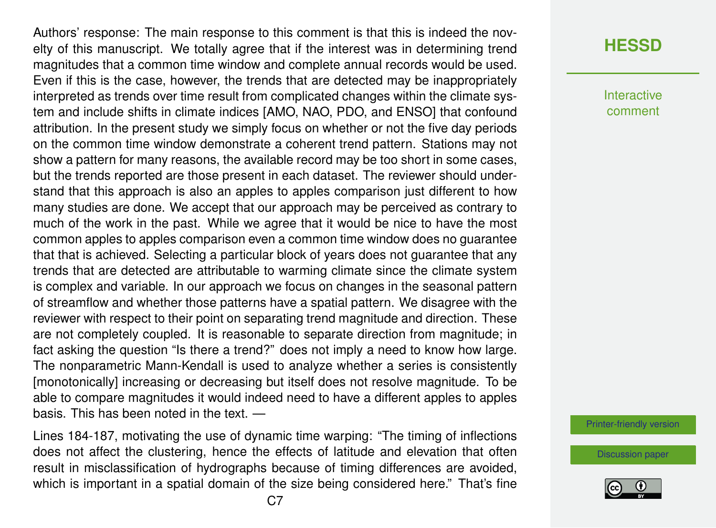Authors' response: The main response to this comment is that this is indeed the novelty of this manuscript. We totally agree that if the interest was in determining trend magnitudes that a common time window and complete annual records would be used. Even if this is the case, however, the trends that are detected may be inappropriately interpreted as trends over time result from complicated changes within the climate system and include shifts in climate indices [AMO, NAO, PDO, and ENSO] that confound attribution. In the present study we simply focus on whether or not the five day periods on the common time window demonstrate a coherent trend pattern. Stations may not show a pattern for many reasons, the available record may be too short in some cases, but the trends reported are those present in each dataset. The reviewer should understand that this approach is also an apples to apples comparison just different to how many studies are done. We accept that our approach may be perceived as contrary to much of the work in the past. While we agree that it would be nice to have the most common apples to apples comparison even a common time window does no guarantee that that is achieved. Selecting a particular block of years does not guarantee that any trends that are detected are attributable to warming climate since the climate system is complex and variable. In our approach we focus on changes in the seasonal pattern of streamflow and whether those patterns have a spatial pattern. We disagree with the reviewer with respect to their point on separating trend magnitude and direction. These are not completely coupled. It is reasonable to separate direction from magnitude; in fact asking the question "Is there a trend?" does not imply a need to know how large. The nonparametric Mann-Kendall is used to analyze whether a series is consistently [monotonically] increasing or decreasing but itself does not resolve magnitude. To be able to compare magnitudes it would indeed need to have a different apples to apples basis. This has been noted in the text. —

Lines 184-187, motivating the use of dynamic time warping: "The timing of inflections does not affect the clustering, hence the effects of latitude and elevation that often result in misclassification of hydrographs because of timing differences are avoided, which is important in a spatial domain of the size being considered here." That's fine

#### **[HESSD](https://www.hydrol-earth-syst-sci-discuss.net/)**

**Interactive** comment

[Printer-friendly version](https://www.hydrol-earth-syst-sci-discuss.net/hess-2019-671/hess-2019-671-AC1-print.pdf)

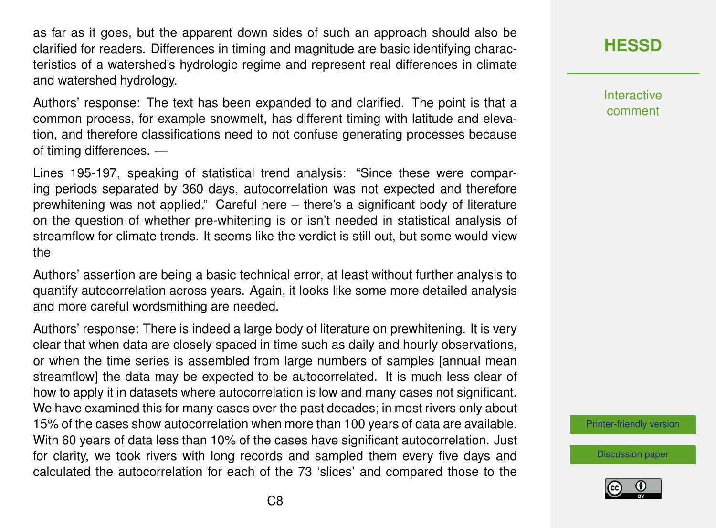as far as it goes, but the apparent down sides of such an approach should also be clarified for readers. Differences in timing and magnitude are basic identifying characteristics of a watershed's hydrologic regime and represent real differences in climate and watershed hydrology.

Authors' response: The text has been expanded to and clarified. The point is that a common process, for example snowmelt, has different timing with latitude and elevation, and therefore classifications need to not confuse generating processes because of timing differences. —

Lines 195-197, speaking of statistical trend analysis: "Since these were comparing periods separated by 360 days, autocorrelation was not expected and therefore prewhitening was not applied." Careful here – there's a significant body of literature on the question of whether pre-whitening is or isn't needed in statistical analysis of streamflow for climate trends. It seems like the verdict is still out, but some would view the

Authors' assertion are being a basic technical error, at least without further analysis to quantify autocorrelation across years. Again, it looks like some more detailed analysis and more careful wordsmithing are needed.

Authors' response: There is indeed a large body of literature on prewhitening. It is very clear that when data are closely spaced in time such as daily and hourly observations, or when the time series is assembled from large numbers of samples [annual mean streamflow] the data may be expected to be autocorrelated. It is much less clear of how to apply it in datasets where autocorrelation is low and many cases not significant. We have examined this for many cases over the past decades; in most rivers only about 15% of the cases show autocorrelation when more than 100 years of data are available. With 60 years of data less than 10% of the cases have significant autocorrelation. Just for clarity, we took rivers with long records and sampled them every five days and calculated the autocorrelation for each of the 73 'slices' and compared those to the

#### **[HESSD](https://www.hydrol-earth-syst-sci-discuss.net/)**

**Interactive** comment

[Printer-friendly version](https://www.hydrol-earth-syst-sci-discuss.net/hess-2019-671/hess-2019-671-AC1-print.pdf)

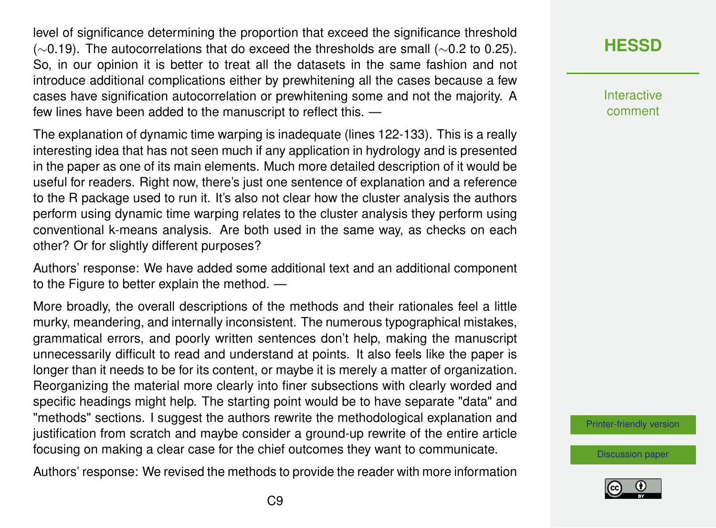level of significance determining the proportion that exceed the significance threshold (∼0.19). The autocorrelations that do exceed the thresholds are small (∼0.2 to 0.25). So, in our opinion it is better to treat all the datasets in the same fashion and not introduce additional complications either by prewhitening all the cases because a few cases have signification autocorrelation or prewhitening some and not the majority. A few lines have been added to the manuscript to reflect this. —

The explanation of dynamic time warping is inadequate (lines 122-133). This is a really interesting idea that has not seen much if any application in hydrology and is presented in the paper as one of its main elements. Much more detailed description of it would be useful for readers. Right now, there's just one sentence of explanation and a reference to the R package used to run it. It's also not clear how the cluster analysis the authors perform using dynamic time warping relates to the cluster analysis they perform using conventional k-means analysis. Are both used in the same way, as checks on each other? Or for slightly different purposes?

Authors' response: We have added some additional text and an additional component to the Figure to better explain the method. —

More broadly, the overall descriptions of the methods and their rationales feel a little murky, meandering, and internally inconsistent. The numerous typographical mistakes, grammatical errors, and poorly written sentences don't help, making the manuscript unnecessarily difficult to read and understand at points. It also feels like the paper is longer than it needs to be for its content, or maybe it is merely a matter of organization. Reorganizing the material more clearly into finer subsections with clearly worded and specific headings might help. The starting point would be to have separate "data" and "methods" sections. I suggest the authors rewrite the methodological explanation and justification from scratch and maybe consider a ground-up rewrite of the entire article focusing on making a clear case for the chief outcomes they want to communicate.

Authors' response: We revised the methods to provide the reader with more information

#### **[HESSD](https://www.hydrol-earth-syst-sci-discuss.net/)**

**Interactive** comment

[Printer-friendly version](https://www.hydrol-earth-syst-sci-discuss.net/hess-2019-671/hess-2019-671-AC1-print.pdf)

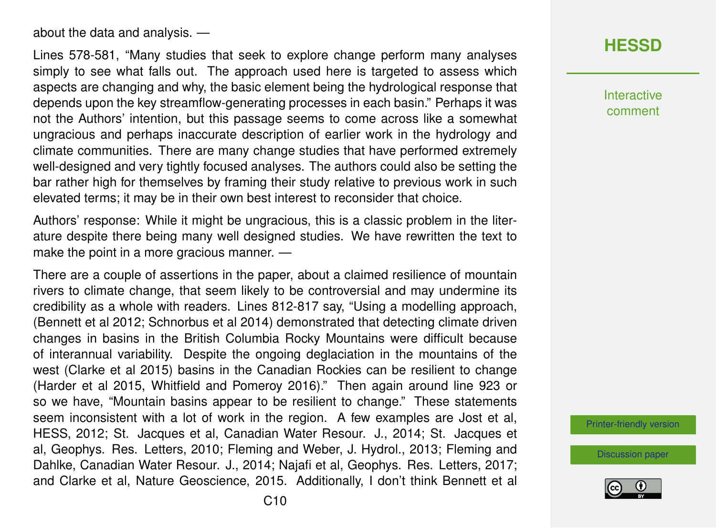about the data and analysis. —

Lines 578-581, "Many studies that seek to explore change perform many analyses simply to see what falls out. The approach used here is targeted to assess which aspects are changing and why, the basic element being the hydrological response that depends upon the key streamflow-generating processes in each basin." Perhaps it was not the Authors' intention, but this passage seems to come across like a somewhat ungracious and perhaps inaccurate description of earlier work in the hydrology and climate communities. There are many change studies that have performed extremely well-designed and very tightly focused analyses. The authors could also be setting the bar rather high for themselves by framing their study relative to previous work in such elevated terms; it may be in their own best interest to reconsider that choice.

Authors' response: While it might be ungracious, this is a classic problem in the literature despite there being many well designed studies. We have rewritten the text to make the point in a more gracious manner. —

There are a couple of assertions in the paper, about a claimed resilience of mountain rivers to climate change, that seem likely to be controversial and may undermine its credibility as a whole with readers. Lines 812-817 say, "Using a modelling approach, (Bennett et al 2012; Schnorbus et al 2014) demonstrated that detecting climate driven changes in basins in the British Columbia Rocky Mountains were difficult because of interannual variability. Despite the ongoing deglaciation in the mountains of the west (Clarke et al 2015) basins in the Canadian Rockies can be resilient to change (Harder et al 2015, Whitfield and Pomeroy 2016)." Then again around line 923 or so we have, "Mountain basins appear to be resilient to change." These statements seem inconsistent with a lot of work in the region. A few examples are Jost et al, HESS, 2012; St. Jacques et al, Canadian Water Resour. J., 2014; St. Jacques et al, Geophys. Res. Letters, 2010; Fleming and Weber, J. Hydrol., 2013; Fleming and Dahlke, Canadian Water Resour. J., 2014; Najafi et al, Geophys. Res. Letters, 2017; and Clarke et al, Nature Geoscience, 2015. Additionally, I don't think Bennett et al **[HESSD](https://www.hydrol-earth-syst-sci-discuss.net/)**

Interactive comment

[Printer-friendly version](https://www.hydrol-earth-syst-sci-discuss.net/hess-2019-671/hess-2019-671-AC1-print.pdf)

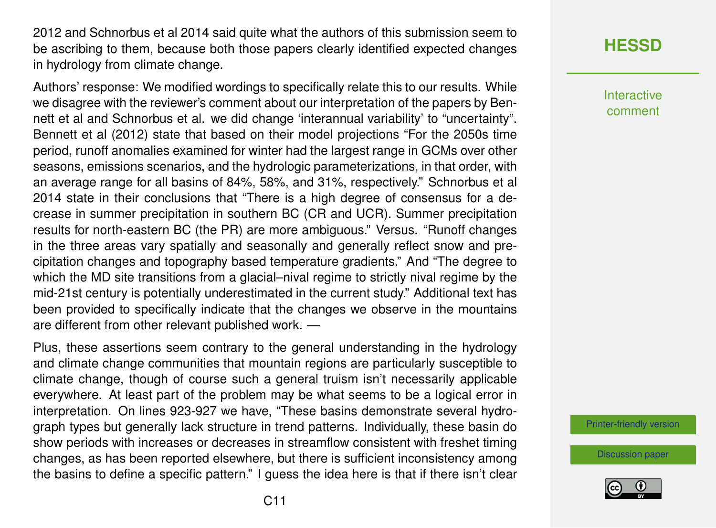2012 and Schnorbus et al 2014 said quite what the authors of this submission seem to be ascribing to them, because both those papers clearly identified expected changes in hydrology from climate change.

Authors' response: We modified wordings to specifically relate this to our results. While we disagree with the reviewer's comment about our interpretation of the papers by Bennett et al and Schnorbus et al. we did change 'interannual variability' to "uncertainty". Bennett et al (2012) state that based on their model projections "For the 2050s time period, runoff anomalies examined for winter had the largest range in GCMs over other seasons, emissions scenarios, and the hydrologic parameterizations, in that order, with an average range for all basins of 84%, 58%, and 31%, respectively." Schnorbus et al 2014 state in their conclusions that "There is a high degree of consensus for a decrease in summer precipitation in southern BC (CR and UCR). Summer precipitation results for north-eastern BC (the PR) are more ambiguous." Versus. "Runoff changes in the three areas vary spatially and seasonally and generally reflect snow and precipitation changes and topography based temperature gradients." And "The degree to which the MD site transitions from a glacial–nival regime to strictly nival regime by the mid-21st century is potentially underestimated in the current study." Additional text has been provided to specifically indicate that the changes we observe in the mountains are different from other relevant published work. —

Plus, these assertions seem contrary to the general understanding in the hydrology and climate change communities that mountain regions are particularly susceptible to climate change, though of course such a general truism isn't necessarily applicable everywhere. At least part of the problem may be what seems to be a logical error in interpretation. On lines 923-927 we have, "These basins demonstrate several hydrograph types but generally lack structure in trend patterns. Individually, these basin do show periods with increases or decreases in streamflow consistent with freshet timing changes, as has been reported elsewhere, but there is sufficient inconsistency among the basins to define a specific pattern." I guess the idea here is that if there isn't clear

# **[HESSD](https://www.hydrol-earth-syst-sci-discuss.net/)**

Interactive comment

[Printer-friendly version](https://www.hydrol-earth-syst-sci-discuss.net/hess-2019-671/hess-2019-671-AC1-print.pdf)

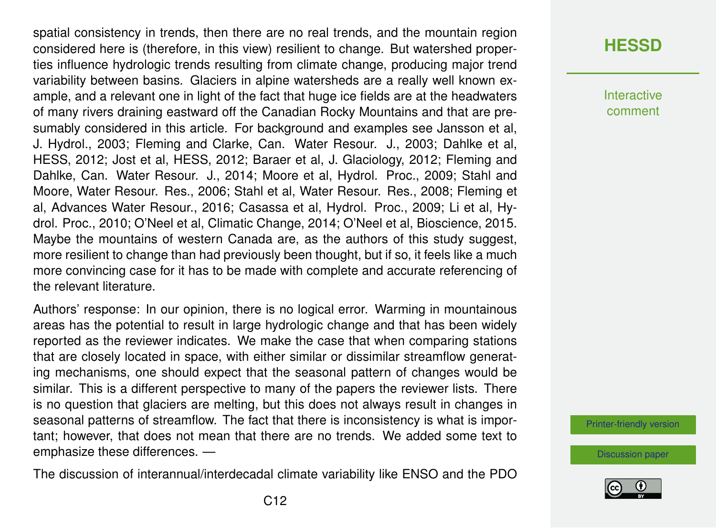spatial consistency in trends, then there are no real trends, and the mountain region considered here is (therefore, in this view) resilient to change. But watershed properties influence hydrologic trends resulting from climate change, producing major trend variability between basins. Glaciers in alpine watersheds are a really well known example, and a relevant one in light of the fact that huge ice fields are at the headwaters of many rivers draining eastward off the Canadian Rocky Mountains and that are presumably considered in this article. For background and examples see Jansson et al, J. Hydrol., 2003; Fleming and Clarke, Can. Water Resour. J., 2003; Dahlke et al, HESS, 2012; Jost et al, HESS, 2012; Baraer et al, J. Glaciology, 2012; Fleming and Dahlke, Can. Water Resour. J., 2014; Moore et al, Hydrol. Proc., 2009; Stahl and Moore, Water Resour. Res., 2006; Stahl et al, Water Resour. Res., 2008; Fleming et al, Advances Water Resour., 2016; Casassa et al, Hydrol. Proc., 2009; Li et al, Hydrol. Proc., 2010; O'Neel et al, Climatic Change, 2014; O'Neel et al, Bioscience, 2015. Maybe the mountains of western Canada are, as the authors of this study suggest, more resilient to change than had previously been thought, but if so, it feels like a much more convincing case for it has to be made with complete and accurate referencing of the relevant literature.

Authors' response: In our opinion, there is no logical error. Warming in mountainous areas has the potential to result in large hydrologic change and that has been widely reported as the reviewer indicates. We make the case that when comparing stations that are closely located in space, with either similar or dissimilar streamflow generating mechanisms, one should expect that the seasonal pattern of changes would be similar. This is a different perspective to many of the papers the reviewer lists. There is no question that glaciers are melting, but this does not always result in changes in seasonal patterns of streamflow. The fact that there is inconsistency is what is important; however, that does not mean that there are no trends. We added some text to emphasize these differences. —

The discussion of interannual/interdecadal climate variability like ENSO and the PDO

#### **[HESSD](https://www.hydrol-earth-syst-sci-discuss.net/)**

**Interactive** comment

[Printer-friendly version](https://www.hydrol-earth-syst-sci-discuss.net/hess-2019-671/hess-2019-671-AC1-print.pdf)

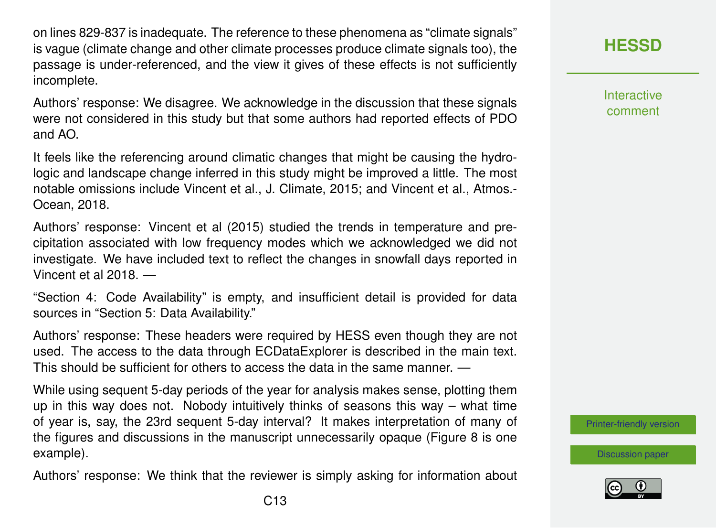on lines 829-837 is inadequate. The reference to these phenomena as "climate signals" is vague (climate change and other climate processes produce climate signals too), the passage is under-referenced, and the view it gives of these effects is not sufficiently incomplete.

Authors' response: We disagree. We acknowledge in the discussion that these signals were not considered in this study but that some authors had reported effects of PDO and AO.

It feels like the referencing around climatic changes that might be causing the hydrologic and landscape change inferred in this study might be improved a little. The most notable omissions include Vincent et al., J. Climate, 2015; and Vincent et al., Atmos.- Ocean, 2018.

Authors' response: Vincent et al (2015) studied the trends in temperature and precipitation associated with low frequency modes which we acknowledged we did not investigate. We have included text to reflect the changes in snowfall days reported in Vincent et al 2018. —

"Section 4: Code Availability" is empty, and insufficient detail is provided for data sources in "Section 5: Data Availability."

Authors' response: These headers were required by HESS even though they are not used. The access to the data through ECDataExplorer is described in the main text. This should be sufficient for others to access the data in the same manner. —

While using sequent 5-day periods of the year for analysis makes sense, plotting them up in this way does not. Nobody intuitively thinks of seasons this way – what time of year is, say, the 23rd sequent 5-day interval? It makes interpretation of many of the figures and discussions in the manuscript unnecessarily opaque (Figure 8 is one example).

Authors' response: We think that the reviewer is simply asking for information about

**[HESSD](https://www.hydrol-earth-syst-sci-discuss.net/)**

**Interactive** comment

[Printer-friendly version](https://www.hydrol-earth-syst-sci-discuss.net/hess-2019-671/hess-2019-671-AC1-print.pdf)